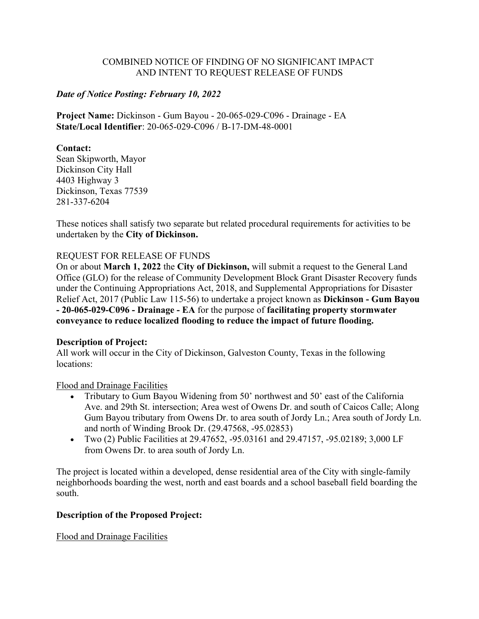### COMBINED NOTICE OF FINDING OF NO SIGNIFICANT IMPACT AND INTENT TO REQUEST RELEASE OF FUNDS

### *Date of Notice Posting: February 10, 2022*

**Project Name:** Dickinson - Gum Bayou - 20-065-029-C096 - Drainage - EA **State/Local Identifier**: 20-065-029-C096 / B-17-DM-48-0001

### **Contact:**

Sean Skipworth, Mayor Dickinson City Hall 4403 Highway 3 Dickinson, Texas 77539 281-337-6204

These notices shall satisfy two separate but related procedural requirements for activities to be undertaken by the **City of Dickinson.**

### REQUEST FOR RELEASE OF FUNDS

On or about **March 1, 2022** the **City of Dickinson,** will submit a request to the General Land Office (GLO) for the release of Community Development Block Grant Disaster Recovery funds under the Continuing Appropriations Act, 2018, and Supplemental Appropriations for Disaster Relief Act, 2017 (Public Law 115-56) to undertake a project known as **Dickinson - Gum Bayou - 20-065-029-C096 - Drainage - EA** for the purpose of **facilitating property stormwater conveyance to reduce localized flooding to reduce the impact of future flooding.**

### **Description of Project:**

All work will occur in the City of Dickinson, Galveston County, Texas in the following locations:

### Flood and Drainage Facilities

- Tributary to Gum Bayou Widening from 50' northwest and 50' east of the California Ave. and 29th St. intersection; Area west of Owens Dr. and south of Caicos Calle; Along Gum Bayou tributary from Owens Dr. to area south of Jordy Ln.; Area south of Jordy Ln. and north of Winding Brook Dr. (29.47568, -95.02853)
- Two (2) Public Facilities at 29.47652, -95.03161 and 29.47157, -95.02189; 3,000 LF from Owens Dr. to area south of Jordy Ln.

The project is located within a developed, dense residential area of the City with single-family neighborhoods boarding the west, north and east boards and a school baseball field boarding the south.

### **Description of the Proposed Project:**

Flood and Drainage Facilities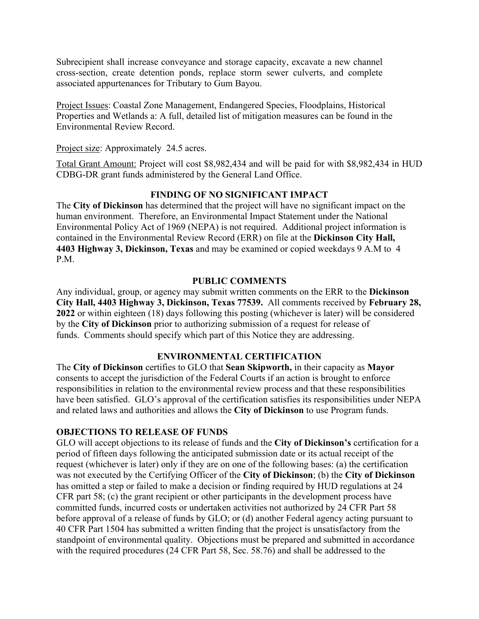Subrecipient shall increase conveyance and storage capacity, excavate a new channel cross-section, create detention ponds, replace storm sewer culverts, and complete associated appurtenances for Tributary to Gum Bayou.

Project Issues: Coastal Zone Management, Endangered Species, Floodplains, Historical Properties and Wetlands a: A full, detailed list of mitigation measures can be found in the Environmental Review Record.

Project size: Approximately 24.5 acres.

Total Grant Amount: Project will cost \$8,982,434 and will be paid for with \$8,982,434 in HUD CDBG-DR grant funds administered by the General Land Office.

## **FINDING OF NO SIGNIFICANT IMPACT**

The **City of Dickinson** has determined that the project will have no significant impact on the human environment. Therefore, an Environmental Impact Statement under the National Environmental Policy Act of 1969 (NEPA) is not required. Additional project information is contained in the Environmental Review Record (ERR) on file at the **Dickinson City Hall, 4403 Highway 3, Dickinson, Texas** and may be examined or copied weekdays 9 A.M to 4 P.M.

### **PUBLIC COMMENTS**

Any individual, group, or agency may submit written comments on the ERR to the **Dickinson City Hall, 4403 Highway 3, Dickinson, Texas 77539.** All comments received by **February 28, 2022** or within eighteen (18) days following this posting (whichever is later) will be considered by the **City of Dickinson** prior to authorizing submission of a request for release of funds. Comments should specify which part of this Notice they are addressing.

## **ENVIRONMENTAL CERTIFICATION**

The **City of Dickinson** certifies to GLO that **Sean Skipworth,** in their capacity as **Mayor**  consents to accept the jurisdiction of the Federal Courts if an action is brought to enforce responsibilities in relation to the environmental review process and that these responsibilities have been satisfied. GLO's approval of the certification satisfies its responsibilities under NEPA and related laws and authorities and allows the **City of Dickinson** to use Program funds.

### **OBJECTIONS TO RELEASE OF FUNDS**

GLO will accept objections to its release of funds and the **City of Dickinson's** certification for a period of fifteen days following the anticipated submission date or its actual receipt of the request (whichever is later) only if they are on one of the following bases: (a) the certification was not executed by the Certifying Officer of the **City of Dickinson**; (b) the **City of Dickinson** has omitted a step or failed to make a decision or finding required by HUD regulations at 24 CFR part 58; (c) the grant recipient or other participants in the development process have committed funds, incurred costs or undertaken activities not authorized by 24 CFR Part 58 before approval of a release of funds by GLO; or (d) another Federal agency acting pursuant to 40 CFR Part 1504 has submitted a written finding that the project is unsatisfactory from the standpoint of environmental quality. Objections must be prepared and submitted in accordance with the required procedures (24 CFR Part 58, Sec. 58.76) and shall be addressed to the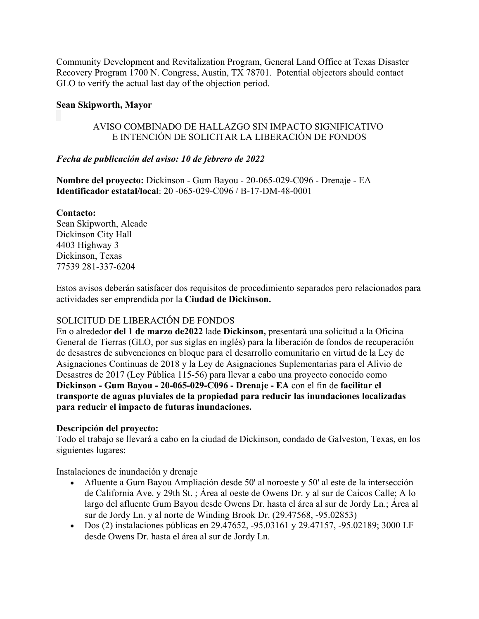Community Development and Revitalization Program, General Land Office at Texas Disaster Recovery Program 1700 N. Congress, Austin, TX 78701. Potential objectors should contact GLO to verify the actual last day of the objection period.

## **Sean Skipworth, Mayor**

### AVISO COMBINADO DE HALLAZGO SIN IMPACTO SIGNIFICATIVO E INTENCIÓN DE SOLICITAR LA LIBERACIÓN DE FONDOS

## *Fecha de publicación del aviso: 10 de febrero de 2022*

**Nombre del proyecto:** Dickinson - Gum Bayou - 20-065-029-C096 - Drenaje - EA **Identificador estatal/local**: 20 -065-029-C096 / B-17-DM-48-0001

## **Contacto:**

Sean Skipworth, Alcade Dickinson City Hall 4403 Highway 3 Dickinson, Texas 77539 281-337-6204

Estos avisos deberán satisfacer dos requisitos de procedimiento separados pero relacionados para actividades ser emprendida por la **Ciudad de Dickinson.**

# SOLICITUD DE LIBERACIÓN DE FONDOS

En o alrededor **del 1 de marzo de2022** lade **Dickinson,** presentará una solicitud a la Oficina General de Tierras (GLO, por sus siglas en inglés) para la liberación de fondos de recuperación de desastres de subvenciones en bloque para el desarrollo comunitario en virtud de la Ley de Asignaciones Continuas de 2018 y la Ley de Asignaciones Suplementarias para el Alivio de Desastres de 2017 (Ley Pública 115-56) para llevar a cabo una proyecto conocido como **Dickinson - Gum Bayou - 20-065-029-C096 - Drenaje - EA** con el fin de **facilitar el transporte de aguas pluviales de la propiedad para reducir las inundaciones localizadas para reducir el impacto de futuras inundaciones.**

## **Descripción del proyecto:**

Todo el trabajo se llevará a cabo en la ciudad de Dickinson, condado de Galveston, Texas, en los siguientes lugares:

Instalaciones de inundación y drenaje

- Afluente a Gum Bayou Ampliación desde 50' al noroeste y 50' al este de la intersección de California Ave. y 29th St. ; Área al oeste de Owens Dr. y al sur de Caicos Calle; A lo largo del afluente Gum Bayou desde Owens Dr. hasta el área al sur de Jordy Ln.; Área al sur de Jordy Ln. y al norte de Winding Brook Dr. (29.47568, -95.02853)
- Dos (2) instalaciones públicas en 29.47652, -95.03161 y 29.47157, -95.02189; 3000 LF desde Owens Dr. hasta el área al sur de Jordy Ln.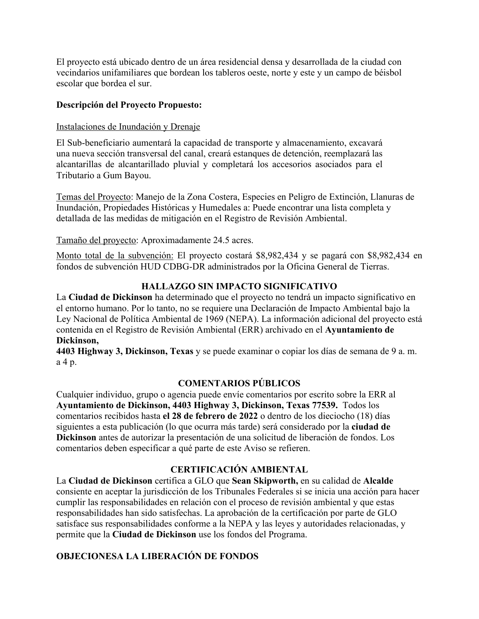El proyecto está ubicado dentro de un área residencial densa y desarrollada de la ciudad con vecindarios unifamiliares que bordean los tableros oeste, norte y este y un campo de béisbol escolar que bordea el sur.

### **Descripción del Proyecto Propuesto:**

### Instalaciones de Inundación y Drenaje

El Sub-beneficiario aumentará la capacidad de transporte y almacenamiento, excavará una nueva sección transversal del canal, creará estanques de detención, reemplazará las alcantarillas de alcantarillado pluvial y completará los accesorios asociados para el Tributario a Gum Bayou.

Temas del Proyecto: Manejo de la Zona Costera, Especies en Peligro de Extinción, Llanuras de Inundación, Propiedades Históricas y Humedales a: Puede encontrar una lista completa y detallada de las medidas de mitigación en el Registro de Revisión Ambiental.

Tamaño del proyecto: Aproximadamente 24.5 acres.

Monto total de la subvención: El proyecto costará \$8,982,434 y se pagará con \$8,982,434 en fondos de subvención HUD CDBG-DR administrados por la Oficina General de Tierras.

## **HALLAZGO SIN IMPACTO SIGNIFICATIVO**

La **Ciudad de Dickinson** ha determinado que el proyecto no tendrá un impacto significativo en el entorno humano. Por lo tanto, no se requiere una Declaración de Impacto Ambiental bajo la Ley Nacional de Política Ambiental de 1969 (NEPA). La información adicional del proyecto está contenida en el Registro de Revisión Ambiental (ERR) archivado en el **Ayuntamiento de Dickinson,**

**4403 Highway 3, Dickinson, Texas** y se puede examinar o copiar los días de semana de 9 a. m. a 4 p.

## **COMENTARIOS PÚBLICOS**

Cualquier individuo, grupo o agencia puede envíe comentarios por escrito sobre la ERR al **Ayuntamiento de Dickinson, 4403 Highway 3, Dickinson, Texas 77539.** Todos los comentarios recibidos hasta **el 28 de febrero de 2022** o dentro de los dieciocho (18) días siguientes a esta publicación (lo que ocurra más tarde) será considerado por la **ciudad de Dickinson** antes de autorizar la presentación de una solicitud de liberación de fondos. Los comentarios deben especificar a qué parte de este Aviso se refieren.

### **CERTIFICACIÓN AMBIENTAL**

La **Ciudad de Dickinson** certifica a GLO que **Sean Skipworth,** en su calidad de **Alcalde**  consiente en aceptar la jurisdicción de los Tribunales Federales si se inicia una acción para hacer cumplir las responsabilidades en relación con el proceso de revisión ambiental y que estas responsabilidades han sido satisfechas. La aprobación de la certificación por parte de GLO satisface sus responsabilidades conforme a la NEPA y las leyes y autoridades relacionadas, y permite que la **Ciudad de Dickinson** use los fondos del Programa.

# **OBJECIONESA LA LIBERACIÓN DE FONDOS**